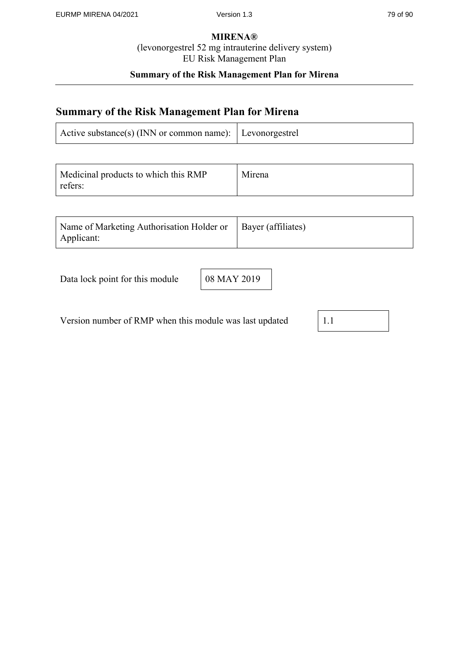# **Summary of the Risk Management Plan for Mirena**

# **Summary of the Risk Management Plan for Mirena**

| Active substance(s) (INN or common name): Levonorgestrel |  |
|----------------------------------------------------------|--|
|----------------------------------------------------------|--|

| Medicinal products to which this RMP<br>refers: | Mirena |
|-------------------------------------------------|--------|
|-------------------------------------------------|--------|

| Name of Marketing Authorisation Holder or   Bayer (affiliates) |  |  |
|----------------------------------------------------------------|--|--|
| Applicant:                                                     |  |  |

| Data lock point for this module |  |
|---------------------------------|--|
|---------------------------------|--|

08 MAY 2019

Version number of RMP when this module was last updated 1.1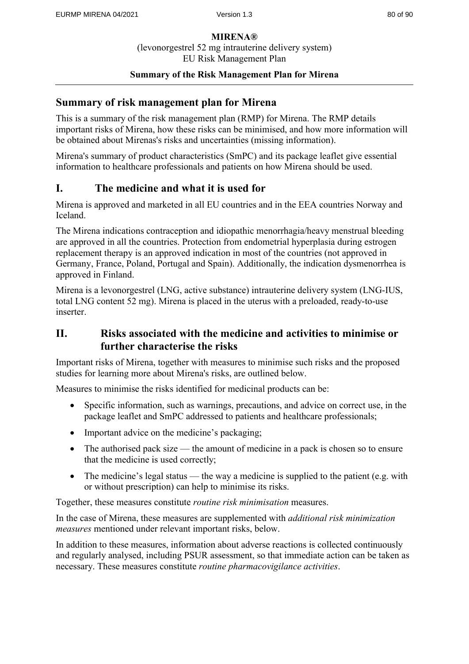### **Summary of the Risk Management Plan for Mirena**

# **Summary of risk management plan for Mirena**

This is a summary of the risk management plan (RMP) for Mirena. The RMP details important risks of Mirena, how these risks can be minimised, and how more information will be obtained about Mirenas's risks and uncertainties (missing information).

Mirena's summary of product characteristics (SmPC) and its package leaflet give essential information to healthcare professionals and patients on how Mirena should be used.

# **I. The medicine and what it is used for**

Mirena is approved and marketed in all EU countries and in the EEA countries Norway and Iceland.

The Mirena indications contraception and idiopathic menorrhagia/heavy menstrual bleeding are approved in all the countries. Protection from endometrial hyperplasia during estrogen replacement therapy is an approved indication in most of the countries (not approved in Germany, France, Poland, Portugal and Spain). Additionally, the indication dysmenorrhea is approved in Finland.

Mirena is a levonorgestrel (LNG, active substance) intrauterine delivery system (LNG-IUS, total LNG content 52 mg). Mirena is placed in the uterus with a preloaded, ready-to-use inserter.

# **II. Risks associated with the medicine and activities to minimise or further characterise the risks**

Important risks of Mirena, together with measures to minimise such risks and the proposed studies for learning more about Mirena's risks, are outlined below.

Measures to minimise the risks identified for medicinal products can be:

- Specific information, such as warnings, precautions, and advice on correct use, in the package leaflet and SmPC addressed to patients and healthcare professionals;
- Important advice on the medicine's packaging;
- The authorised pack size the amount of medicine in a pack is chosen so to ensure that the medicine is used correctly;
- The medicine's legal status the way a medicine is supplied to the patient (e.g. with or without prescription) can help to minimise its risks.

Together, these measures constitute *routine risk minimisation* measures.

In the case of Mirena, these measures are supplemented with *additional risk minimization measures* mentioned under relevant important risks, below.

In addition to these measures, information about adverse reactions is collected continuously and regularly analysed, including PSUR assessment, so that immediate action can be taken as necessary. These measures constitute *routine pharmacovigilance activities*.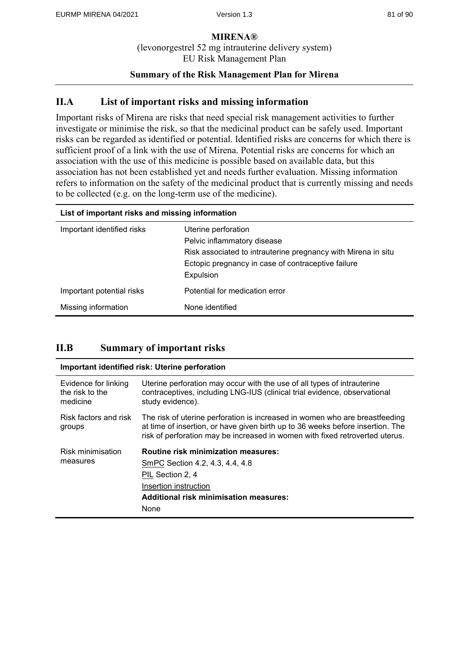## **Summary of the Risk Management Plan for Mirena**

# **II.A List of important risks and missing information**

Important risks of Mirena are risks that need special risk management activities to further investigate or minimise the risk, so that the medicinal product can be safely used. Important risks can be regarded as identified or potential. Identified risks are concerns for which there is sufficient proof of a link with the use of Mirena. Potential risks are concerns for which an association with the use of this medicine is possible based on available data, but this association has not been established yet and needs further evaluation. Missing information refers to information on the safety of the medicinal product that is currently missing and needs to be collected (e.g. on the long-term use of the medicine).

| List of important risks and missing information |                                                                                                                                                                                        |
|-------------------------------------------------|----------------------------------------------------------------------------------------------------------------------------------------------------------------------------------------|
| Important identified risks                      | Uterine perforation<br>Pelvic inflammatory disease<br>Risk associated to intrauterine pregnancy with Mirena in situ<br>Ectopic pregnancy in case of contraceptive failure<br>Expulsion |
| Important potential risks                       | Potential for medication error                                                                                                                                                         |
| Missing information                             | None identified                                                                                                                                                                        |

# **II.B Summary of important risks**

| Important identified risk: Uterine perforation      |                                                                                                                                                                                                                                               |
|-----------------------------------------------------|-----------------------------------------------------------------------------------------------------------------------------------------------------------------------------------------------------------------------------------------------|
| Evidence for linking<br>the risk to the<br>medicine | Uterine perforation may occur with the use of all types of intrauterine<br>contraceptives, including LNG-IUS (clinical trial evidence, observational<br>study evidence).                                                                      |
| Risk factors and risk<br>groups                     | The risk of uterine perforation is increased in women who are breastfeeding<br>at time of insertion, or have given birth up to 36 weeks before insertion. The<br>risk of perforation may be increased in women with fixed retroverted uterus. |
| Risk minimisation<br>measures                       | <b>Routine risk minimization measures:</b><br>SmPC Section 4.2, 4.3, 4.4, 4.8<br>PIL Section 2, 4<br>Insertion instruction<br><b>Additional risk minimisation measures:</b><br>None                                                           |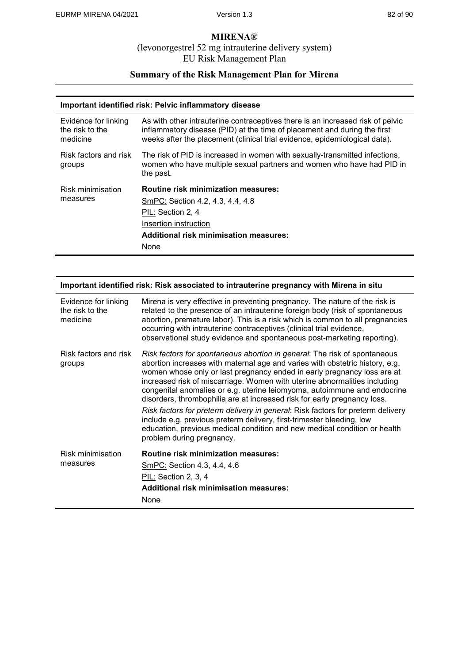### **MIRENA®**

(levonorgestrel 52 mg intrauterine delivery system) EU Risk Management Plan

# **Summary of the Risk Management Plan for Mirena**

#### **Important identified risk: Pelvic inflammatory disease**

| Evidence for linking<br>the risk to the<br>medicine | As with other intrauterine contraceptives there is an increased risk of pelvic<br>inflammatory disease (PID) at the time of placement and during the first<br>weeks after the placement (clinical trial evidence, epidemiological data). |
|-----------------------------------------------------|------------------------------------------------------------------------------------------------------------------------------------------------------------------------------------------------------------------------------------------|
| Risk factors and risk<br>groups                     | The risk of PID is increased in women with sexually-transmitted infections,<br>women who have multiple sexual partners and women who have had PID in<br>the past.                                                                        |
| Risk minimisation<br>measures                       | <b>Routine risk minimization measures:</b><br>SmPC: Section 4.2, 4.3, 4.4, 4.8<br>PIL: Section 2, 4<br>Insertion instruction<br>Additional risk minimisation measures:<br>None                                                           |

| Important identified risk: Risk associated to intrauterine pregnancy with Mirena in situ |                                                                                                                                                                                                                                                                                                                                                                                                                                                                                                                                                                                                                                                                                                                                                 |
|------------------------------------------------------------------------------------------|-------------------------------------------------------------------------------------------------------------------------------------------------------------------------------------------------------------------------------------------------------------------------------------------------------------------------------------------------------------------------------------------------------------------------------------------------------------------------------------------------------------------------------------------------------------------------------------------------------------------------------------------------------------------------------------------------------------------------------------------------|
| Evidence for linking<br>the risk to the<br>medicine                                      | Mirena is very effective in preventing pregnancy. The nature of the risk is<br>related to the presence of an intrauterine foreign body (risk of spontaneous<br>abortion, premature labor). This is a risk which is common to all pregnancies<br>occurring with intrauterine contraceptives (clinical trial evidence,<br>observational study evidence and spontaneous post-marketing reporting).                                                                                                                                                                                                                                                                                                                                                 |
| Risk factors and risk<br>groups                                                          | Risk factors for spontaneous abortion in general: The risk of spontaneous<br>abortion increases with maternal age and varies with obstetric history, e.g.<br>women whose only or last pregnancy ended in early pregnancy loss are at<br>increased risk of miscarriage. Women with uterine abnormalities including<br>congenital anomalies or e.g. uterine leiomyoma, autoimmune and endocrine<br>disorders, thrombophilia are at increased risk for early pregnancy loss.<br>Risk factors for preterm delivery in general: Risk factors for preterm delivery<br>include e.g. previous preterm delivery, first-trimester bleeding, low<br>education, previous medical condition and new medical condition or health<br>problem during pregnancy. |
| Risk minimisation<br>measures                                                            | <b>Routine risk minimization measures:</b><br>SmPC: Section 4.3, 4.4, 4.6<br>PIL: Section 2, 3, 4<br><b>Additional risk minimisation measures:</b><br>None                                                                                                                                                                                                                                                                                                                                                                                                                                                                                                                                                                                      |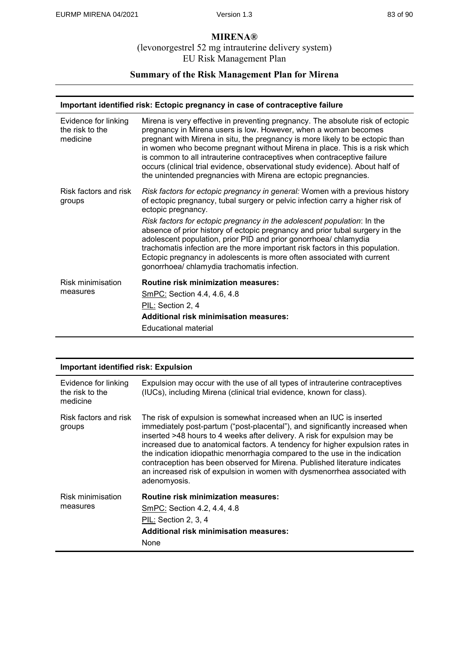#### **MIRENA®**

#### (levonorgestrel 52 mg intrauterine delivery system) EU Risk Management Plan

# **Summary of the Risk Management Plan for Mirena**

#### **Important identified risk: Ectopic pregnancy in case of contraceptive failure**

| Evidence for linking<br>the risk to the<br>medicine | Mirena is very effective in preventing pregnancy. The absolute risk of ectopic<br>pregnancy in Mirena users is low. However, when a woman becomes<br>pregnant with Mirena in situ, the pregnancy is more likely to be ectopic than<br>in women who become pregnant without Mirena in place. This is a risk which<br>is common to all intrauterine contraceptives when contraceptive failure<br>occurs (clinical trial evidence, observational study evidence). About half of<br>the unintended pregnancies with Mirena are ectopic pregnancies. |
|-----------------------------------------------------|-------------------------------------------------------------------------------------------------------------------------------------------------------------------------------------------------------------------------------------------------------------------------------------------------------------------------------------------------------------------------------------------------------------------------------------------------------------------------------------------------------------------------------------------------|
| Risk factors and risk<br>groups                     | Risk factors for ectopic pregnancy in general: Women with a previous history<br>of ectopic pregnancy, tubal surgery or pelvic infection carry a higher risk of<br>ectopic pregnancy.                                                                                                                                                                                                                                                                                                                                                            |
|                                                     | Risk factors for ectopic pregnancy in the adolescent population: In the<br>absence of prior history of ectopic pregnancy and prior tubal surgery in the<br>adolescent population, prior PID and prior gonorrhoea/chlamydia<br>trachomatis infection are the more important risk factors in this population.<br>Ectopic pregnancy in adolescents is more often associated with current<br>gonorrhoea/chlamydia trachomatis infection.                                                                                                            |
| Risk minimisation                                   | <b>Routine risk minimization measures:</b>                                                                                                                                                                                                                                                                                                                                                                                                                                                                                                      |
| measures                                            | SmPC: Section 4.4, 4.6, 4.8                                                                                                                                                                                                                                                                                                                                                                                                                                                                                                                     |
|                                                     | PIL: Section 2, 4                                                                                                                                                                                                                                                                                                                                                                                                                                                                                                                               |
|                                                     | <b>Additional risk minimisation measures:</b>                                                                                                                                                                                                                                                                                                                                                                                                                                                                                                   |
|                                                     | Educational material                                                                                                                                                                                                                                                                                                                                                                                                                                                                                                                            |

| <b>Important identified risk: Expulsion</b>         |                                                                                                                                                                                                                                                                                                                                                                                                                                                                                                                                                                             |
|-----------------------------------------------------|-----------------------------------------------------------------------------------------------------------------------------------------------------------------------------------------------------------------------------------------------------------------------------------------------------------------------------------------------------------------------------------------------------------------------------------------------------------------------------------------------------------------------------------------------------------------------------|
| Evidence for linking<br>the risk to the<br>medicine | Expulsion may occur with the use of all types of intrauterine contraceptives<br>(IUCs), including Mirena (clinical trial evidence, known for class).                                                                                                                                                                                                                                                                                                                                                                                                                        |
| Risk factors and risk<br>groups                     | The risk of expulsion is somewhat increased when an IUC is inserted<br>immediately post-partum ("post-placental"), and significantly increased when<br>inserted >48 hours to 4 weeks after delivery. A risk for expulsion may be<br>increased due to anatomical factors. A tendency for higher expulsion rates in<br>the indication idiopathic menorrhagia compared to the use in the indication<br>contraception has been observed for Mirena. Published literature indicates<br>an increased risk of expulsion in women with dysmenorrhea associated with<br>adenomyosis. |
| Risk minimisation                                   | <b>Routine risk minimization measures:</b>                                                                                                                                                                                                                                                                                                                                                                                                                                                                                                                                  |
| measures                                            | SmPC: Section 4.2, 4.4, 4.8                                                                                                                                                                                                                                                                                                                                                                                                                                                                                                                                                 |
|                                                     | PIL: Section 2, 3, 4                                                                                                                                                                                                                                                                                                                                                                                                                                                                                                                                                        |
|                                                     | <b>Additional risk minimisation measures:</b>                                                                                                                                                                                                                                                                                                                                                                                                                                                                                                                               |
|                                                     | None                                                                                                                                                                                                                                                                                                                                                                                                                                                                                                                                                                        |